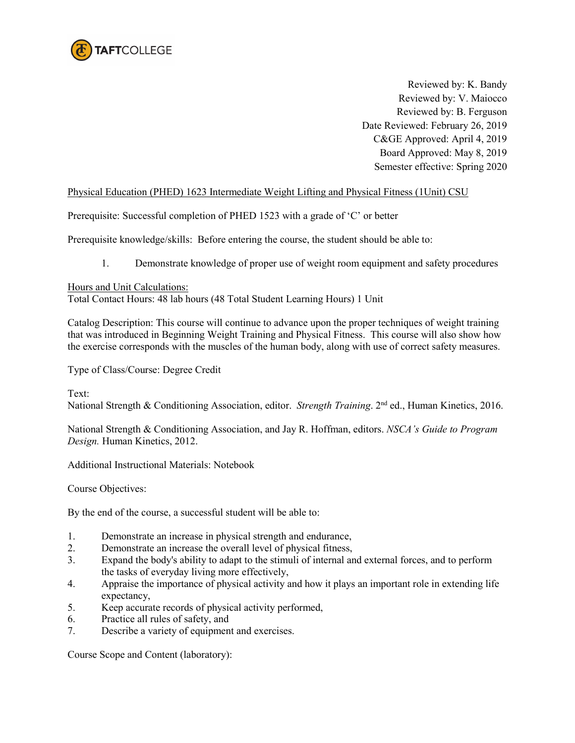

Reviewed by: K. Bandy Reviewed by: V. Maiocco Reviewed by: B. Ferguson Date Reviewed: February 26, 2019 C&GE Approved: April 4, 2019 Board Approved: May 8, 2019 Semester effective: Spring 2020

### Physical Education (PHED) 1623 Intermediate Weight Lifting and Physical Fitness (1Unit) CSU

Prerequisite: Successful completion of PHED 1523 with a grade of 'C' or better

Prerequisite knowledge/skills: Before entering the course, the student should be able to:

1. Demonstrate knowledge of proper use of weight room equipment and safety procedures

### Hours and Unit Calculations:

Total Contact Hours: 48 lab hours (48 Total Student Learning Hours) 1 Unit

Catalog Description: This course will continue to advance upon the proper techniques of weight training that was introduced in Beginning Weight Training and Physical Fitness. This course will also show how the exercise corresponds with the muscles of the human body, along with use of correct safety measures.

Type of Class/Course: Degree Credit

Text:

National Strength & Conditioning Association, editor. *Strength Training*. 2nd ed., Human Kinetics, 2016.

National Strength & Conditioning Association, and Jay R. Hoffman, editors. *NSCA's Guide to Program Design.* Human Kinetics, 2012.

Additional Instructional Materials: Notebook

Course Objectives:

By the end of the course, a successful student will be able to:

- 1. Demonstrate an increase in physical strength and endurance,
- 2. Demonstrate an increase the overall level of physical fitness,
- 3. Expand the body's ability to adapt to the stimuli of internal and external forces, and to perform the tasks of everyday living more effectively,
- 4. Appraise the importance of physical activity and how it plays an important role in extending life expectancy,
- 5. Keep accurate records of physical activity performed,
- 6. Practice all rules of safety, and
- 7. Describe a variety of equipment and exercises.

Course Scope and Content (laboratory):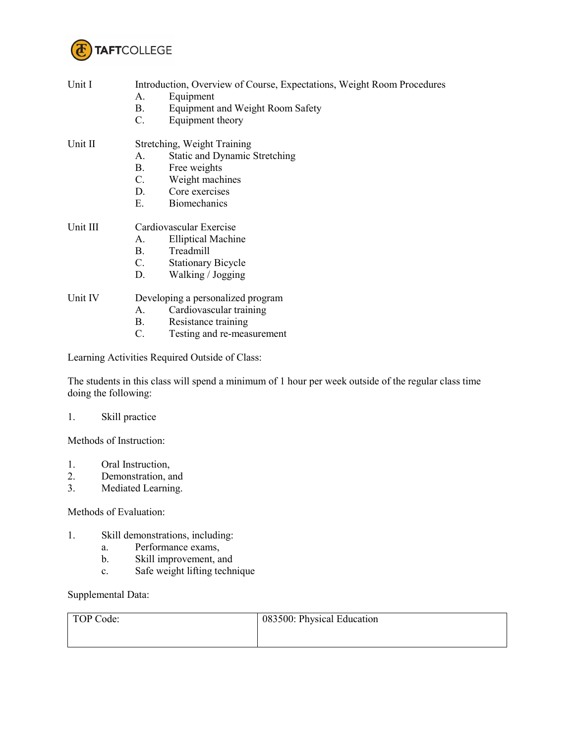

| Unit I   | Introduction, Overview of Course, Expectations, Weight Room Procedures<br>Equipment<br>А.<br><b>B.</b><br><b>Equipment and Weight Room Safety</b><br>C.<br>Equipment theory          |  |  |
|----------|--------------------------------------------------------------------------------------------------------------------------------------------------------------------------------------|--|--|
| Unit II  | Stretching, Weight Training<br><b>Static and Dynamic Stretching</b><br>А.<br><b>B.</b><br>Free weights<br>Weight machines<br>C.<br>Core exercises<br>D.<br>Е.<br><b>Biomechanics</b> |  |  |
| Unit III | Cardiovascular Exercise                                                                                                                                                              |  |  |
|          | <b>Elliptical Machine</b><br>$A_{-}$                                                                                                                                                 |  |  |
|          | Treadmill<br>B.                                                                                                                                                                      |  |  |
|          | C.<br><b>Stationary Bicycle</b>                                                                                                                                                      |  |  |
|          | Walking / Jogging<br>D.                                                                                                                                                              |  |  |
| Unit IV  | Developing a personalized program                                                                                                                                                    |  |  |
|          | Cardiovascular training<br>$A_{-}$                                                                                                                                                   |  |  |
|          | Resistance training<br><b>B</b> .                                                                                                                                                    |  |  |
|          | C.<br>Testing and re-measurement                                                                                                                                                     |  |  |
|          | Learning Activities Required Outside of Class:                                                                                                                                       |  |  |

The students in this class will spend a minimum of 1 hour per week outside of the regular class time doing the following:

## 1. Skill practice

Methods of Instruction:

- 1. Oral Instruction,
- 2. Demonstration, and<br>3. Mediated Learning.
- Mediated Learning.

### Methods of Evaluation:

- 1. Skill demonstrations, including:
	- a. Performance exams,<br>b. Skill improvement, a
	- Skill improvement, and
	- c. Safe weight lifting technique

# Supplemental Data:

| TOP Code: | 083500: Physical Education |
|-----------|----------------------------|
|           |                            |
|           |                            |